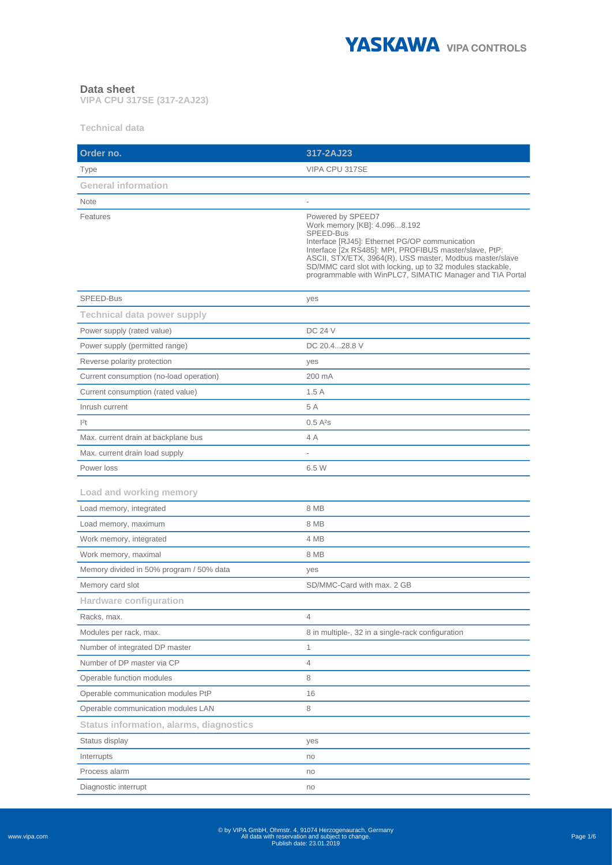

## **Data sheet**

**VIPA CPU 317SE (317-2AJ23)**

**Technical data**

| Order no.                                | 317-2AJ23                                                                                                                                                                                                                                                                                                                                                         |
|------------------------------------------|-------------------------------------------------------------------------------------------------------------------------------------------------------------------------------------------------------------------------------------------------------------------------------------------------------------------------------------------------------------------|
| Type                                     | VIPA CPU 317SE                                                                                                                                                                                                                                                                                                                                                    |
| <b>General information</b>               |                                                                                                                                                                                                                                                                                                                                                                   |
| <b>Note</b>                              |                                                                                                                                                                                                                                                                                                                                                                   |
| Features                                 | Powered by SPEED7<br>Work memory [KB]: 4.0968.192<br>SPEED-Bus<br>Interface [RJ45]: Ethernet PG/OP communication<br>Interface [2x RS485]: MPI, PROFIBUS master/slave, PtP:<br>ASCII, STX/ETX, 3964(R), USS master, Modbus master/slave<br>SD/MMC card slot with locking, up to 32 modules stackable,<br>programmable with WinPLC7, SIMATIC Manager and TIA Portal |
| SPEED-Bus                                | yes                                                                                                                                                                                                                                                                                                                                                               |
| <b>Technical data power supply</b>       |                                                                                                                                                                                                                                                                                                                                                                   |
| Power supply (rated value)               | <b>DC 24 V</b>                                                                                                                                                                                                                                                                                                                                                    |
| Power supply (permitted range)           | DC 20.428.8 V                                                                                                                                                                                                                                                                                                                                                     |
| Reverse polarity protection              | yes                                                                                                                                                                                                                                                                                                                                                               |
| Current consumption (no-load operation)  | 200 mA                                                                                                                                                                                                                                                                                                                                                            |
| Current consumption (rated value)        | 1.5A                                                                                                                                                                                                                                                                                                                                                              |
| Inrush current                           | 5 A                                                                                                                                                                                                                                                                                                                                                               |
| 2t                                       | $0.5A^2s$                                                                                                                                                                                                                                                                                                                                                         |
| Max. current drain at backplane bus      | 4 A                                                                                                                                                                                                                                                                                                                                                               |
| Max. current drain load supply           |                                                                                                                                                                                                                                                                                                                                                                   |
| Power loss                               | 6.5 W                                                                                                                                                                                                                                                                                                                                                             |
| Load and working memory                  |                                                                                                                                                                                                                                                                                                                                                                   |
| Load memory, integrated                  | 8 MB                                                                                                                                                                                                                                                                                                                                                              |
| Load memory, maximum                     | 8 MB                                                                                                                                                                                                                                                                                                                                                              |
| Work memory, integrated                  | 4 MB                                                                                                                                                                                                                                                                                                                                                              |
| Work memory, maximal                     | 8 MB                                                                                                                                                                                                                                                                                                                                                              |
| Memory divided in 50% program / 50% data | yes                                                                                                                                                                                                                                                                                                                                                               |
| Memory card slot                         | SD/MMC-Card with max. 2 GB                                                                                                                                                                                                                                                                                                                                        |
| <b>Hardware configuration</b>            |                                                                                                                                                                                                                                                                                                                                                                   |
| Racks, max.                              | $\overline{4}$                                                                                                                                                                                                                                                                                                                                                    |
| Modules per rack, max.                   | 8 in multiple-, 32 in a single-rack configuration                                                                                                                                                                                                                                                                                                                 |
| Number of integrated DP master           | $\mathbf{1}$                                                                                                                                                                                                                                                                                                                                                      |
| Number of DP master via CP               | $\overline{4}$                                                                                                                                                                                                                                                                                                                                                    |
| Operable function modules                | 8                                                                                                                                                                                                                                                                                                                                                                 |
| Operable communication modules PtP       | 16                                                                                                                                                                                                                                                                                                                                                                |
| Operable communication modules LAN       | 8                                                                                                                                                                                                                                                                                                                                                                 |
| Status information, alarms, diagnostics  |                                                                                                                                                                                                                                                                                                                                                                   |
| Status display                           | yes                                                                                                                                                                                                                                                                                                                                                               |
| Interrupts                               | no                                                                                                                                                                                                                                                                                                                                                                |
| Process alarm                            | no                                                                                                                                                                                                                                                                                                                                                                |
| Diagnostic interrupt                     | no                                                                                                                                                                                                                                                                                                                                                                |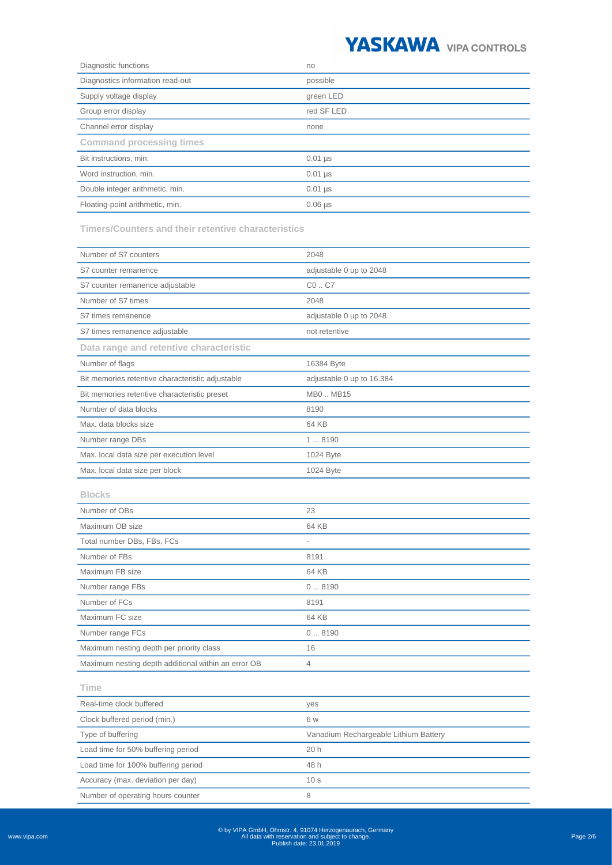

| Diagnostic functions             | no             |
|----------------------------------|----------------|
| Diagnostics information read-out | possible       |
| Supply voltage display           | green LED      |
| Group error display              | red SF LED     |
| Channel error display            | none           |
| <b>Command processing times</b>  |                |
| Bit instructions, min.           | $0.01$ µs      |
| Word instruction, min.           | $0.01$ µs      |
| Double integer arithmetic, min.  | $0.01$ µs      |
| Floating-point arithmetic, min.  | $0.06$ $\mu$ s |

**Timers/Counters and their retentive characteristics**

Number of operating hours counter and the state of  $\theta$ 

| Number of S7 counters                               | 2048                                  |
|-----------------------------------------------------|---------------------------------------|
| S7 counter remanence                                | adjustable 0 up to 2048               |
| S7 counter remanence adjustable                     | $CO.$ C7                              |
| Number of S7 times                                  | 2048                                  |
| S7 times remanence                                  | adjustable 0 up to 2048               |
| S7 times remanence adjustable                       | not retentive                         |
| Data range and retentive characteristic             |                                       |
| Number of flags                                     | 16384 Byte                            |
| Bit memories retentive characteristic adjustable    | adjustable 0 up to 16.384             |
| Bit memories retentive characteristic preset        | MB0MB15                               |
| Number of data blocks                               | 8190                                  |
| Max. data blocks size                               | 64 KB                                 |
| Number range DBs                                    | 18190                                 |
| Max. local data size per execution level            | 1024 Byte                             |
| Max. local data size per block                      | 1024 Byte                             |
| <b>Blocks</b>                                       |                                       |
| Number of OBs                                       | 23                                    |
| Maximum OB size                                     | 64 KB                                 |
| Total number DBs, FBs, FCs                          |                                       |
| Number of FBs                                       | 8191                                  |
| Maximum FB size                                     | 64 KB                                 |
| Number range FBs                                    | 08190                                 |
| Number of FCs                                       | 8191                                  |
| Maximum FC size                                     | 64 KB                                 |
| Number range FCs                                    | 08190                                 |
| Maximum nesting depth per priority class            | 16                                    |
| Maximum nesting depth additional within an error OB | 4                                     |
| Time                                                |                                       |
| Real-time clock buffered                            | yes                                   |
| Clock buffered period (min.)                        | 6 w                                   |
| Type of buffering                                   | Vanadium Rechargeable Lithium Battery |
| Load time for 50% buffering period                  | 20h                                   |
| Load time for 100% buffering period                 | 48 h                                  |
| Accuracy (max. deviation per day)                   | 10 <sub>s</sub>                       |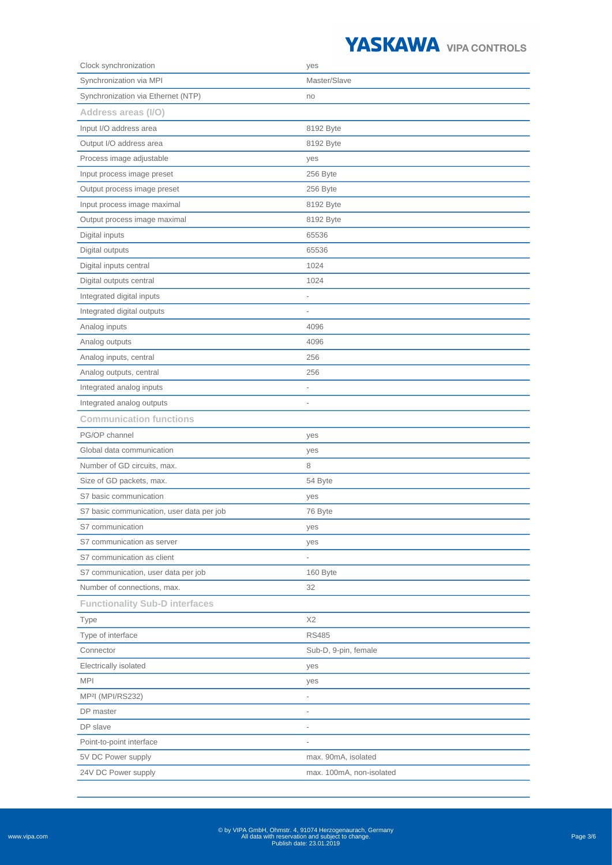

| Clock synchronization                     | yes                      |
|-------------------------------------------|--------------------------|
| Synchronization via MPI                   | Master/Slave             |
| Synchronization via Ethernet (NTP)        | no                       |
| Address areas (I/O)                       |                          |
| Input I/O address area                    | 8192 Byte                |
| Output I/O address area                   | 8192 Byte                |
| Process image adjustable                  | yes                      |
| Input process image preset                | 256 Byte                 |
| Output process image preset               | 256 Byte                 |
| Input process image maximal               | 8192 Byte                |
| Output process image maximal              | 8192 Byte                |
| Digital inputs                            | 65536                    |
| Digital outputs                           | 65536                    |
| Digital inputs central                    | 1024                     |
| Digital outputs central                   | 1024                     |
| Integrated digital inputs                 | $\overline{a}$           |
| Integrated digital outputs                | $\overline{a}$           |
| Analog inputs                             | 4096                     |
| Analog outputs                            | 4096                     |
| Analog inputs, central                    | 256                      |
| Analog outputs, central                   | 256                      |
| Integrated analog inputs                  |                          |
| Integrated analog outputs                 |                          |
| <b>Communication functions</b>            |                          |
| PG/OP channel                             | yes                      |
| Global data communication                 | yes                      |
| Number of GD circuits, max.               | 8                        |
| Size of GD packets, max.                  | 54 Byte                  |
| S7 basic communication                    | yes                      |
| S7 basic communication, user data per job | 76 Byte                  |
| S7 communication                          | yes                      |
| S7 communication as server                | yes                      |
| S7 communication as client                |                          |
| S7 communication, user data per job       | 160 Byte                 |
| Number of connections, max.               | 32                       |
| <b>Functionality Sub-D interfaces</b>     |                          |
| Type                                      | X2                       |
| Type of interface                         | <b>RS485</b>             |
| Connector                                 | Sub-D, 9-pin, female     |
| Electrically isolated                     | yes                      |
| <b>MPI</b>                                | yes                      |
| MP <sup>2</sup> I (MPI/RS232)             | $\overline{\phantom{0}}$ |
| DP master                                 | $\overline{a}$           |
| DP slave                                  | $\overline{\phantom{0}}$ |
| Point-to-point interface                  |                          |
| 5V DC Power supply                        | max. 90mA, isolated      |
| 24V DC Power supply                       | max. 100mA, non-isolated |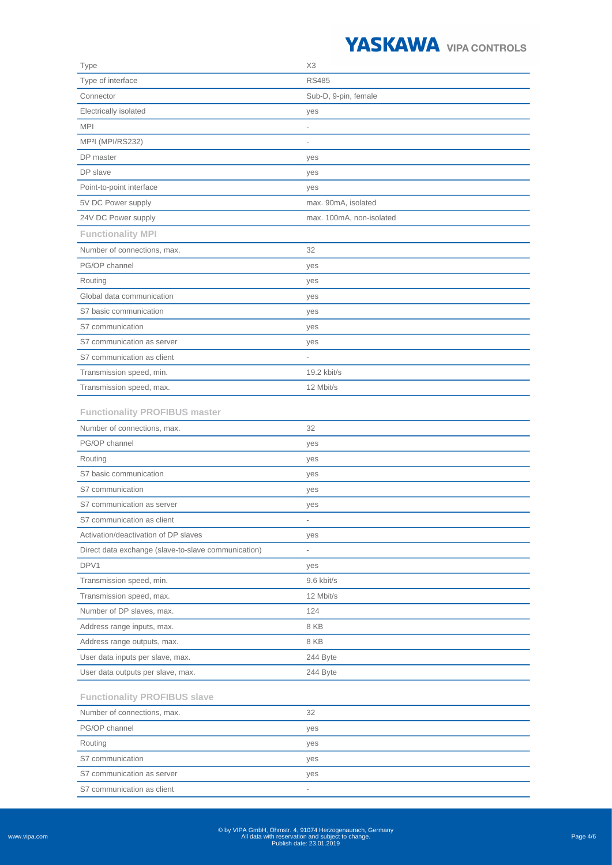

| Type                                                | X <sub>3</sub>           |
|-----------------------------------------------------|--------------------------|
| Type of interface                                   | <b>RS485</b>             |
| Connector                                           | Sub-D, 9-pin, female     |
| Electrically isolated                               | yes                      |
| <b>MPI</b>                                          |                          |
| MP <sup>2</sup> I (MPI/RS232)                       |                          |
| DP master                                           | yes                      |
| DP slave                                            | yes                      |
| Point-to-point interface                            | yes                      |
| 5V DC Power supply                                  | max. 90mA, isolated      |
| 24V DC Power supply                                 | max. 100mA, non-isolated |
| <b>Functionality MPI</b>                            |                          |
| Number of connections, max.                         | 32                       |
| PG/OP channel                                       | yes                      |
| Routing                                             | yes                      |
| Global data communication                           | yes                      |
| S7 basic communication                              | yes                      |
| S7 communication                                    | yes                      |
| S7 communication as server                          | yes                      |
| S7 communication as client                          |                          |
| Transmission speed, min.                            | 19.2 kbit/s              |
| Transmission speed, max.                            | 12 Mbit/s                |
| <b>Functionality PROFIBUS master</b>                |                          |
| Number of connections, max.                         | 32                       |
| PG/OP channel                                       | yes                      |
| Routing                                             | yes                      |
| S7 basic communication                              | yes                      |
| S7 communication                                    | yes                      |
| S7 communication as server                          | yes                      |
| S7 communication as client                          |                          |
| Activation/deactivation of DP slaves                | yes                      |
| Direct data exchange (slave-to-slave communication) |                          |
| DPV1                                                | yes                      |
| Transmission speed, min.                            | 9.6 kbit/s               |
| Transmission speed, max.                            | 12 Mbit/s                |
| Number of DP slaves, max.                           | 124                      |
| Address range inputs, max.                          | 8 KB                     |
| Address range outputs, max.                         | 8 KB                     |
| User data inputs per slave, max.                    | 244 Byte                 |
| User data outputs per slave, max.                   | 244 Byte                 |
| <b>Functionality PROFIBUS slave</b>                 |                          |
| Number of connections, max.                         | 32                       |
| PG/OP channel                                       | yes                      |
| Routing                                             | yes                      |
| S7 communication                                    | yes                      |
| S7 communication as server                          | yes                      |
| S7 communication as client                          |                          |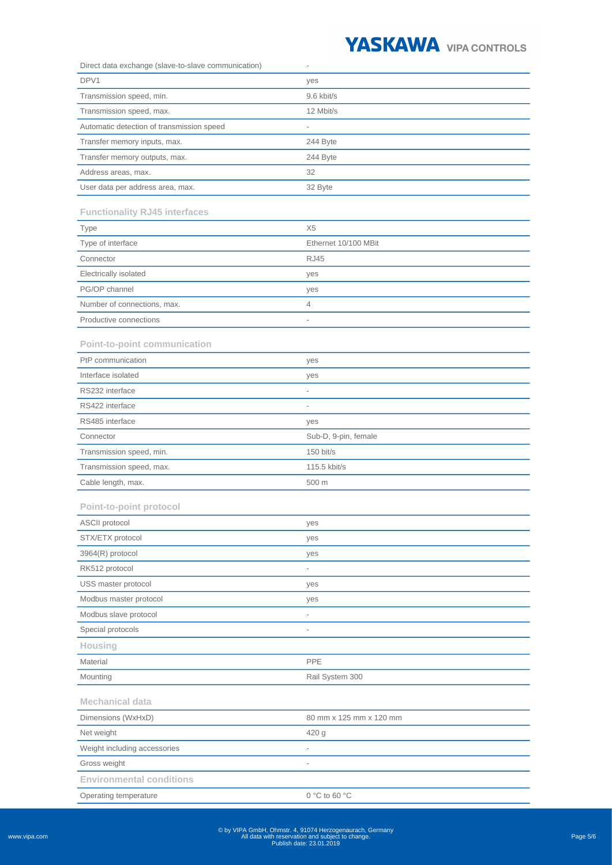

| Direct data exchange (slave-to-slave communication) | $\overline{a}$           |
|-----------------------------------------------------|--------------------------|
| DPV1                                                | yes                      |
| Transmission speed, min.                            | 9.6 kbit/s               |
| Transmission speed, max.                            | 12 Mbit/s                |
| Automatic detection of transmission speed           |                          |
| Transfer memory inputs, max.                        | 244 Byte                 |
| Transfer memory outputs, max.                       | 244 Byte                 |
| Address areas, max.                                 | 32                       |
| User data per address area, max.                    | 32 Byte                  |
| <b>Functionality RJ45 interfaces</b>                |                          |
| Type                                                | X <sub>5</sub>           |
| Type of interface                                   | Ethernet 10/100 MBit     |
| Connector                                           | <b>RJ45</b>              |
| Electrically isolated                               | yes                      |
| PG/OP channel                                       | yes                      |
| Number of connections, max.                         | 4                        |
| Productive connections                              | $\overline{\phantom{a}}$ |
|                                                     |                          |
| Point-to-point communication                        |                          |
| PtP communication                                   | yes                      |
| Interface isolated                                  | yes                      |
| RS232 interface                                     | $\overline{\phantom{0}}$ |
| RS422 interface                                     | $\frac{1}{2}$            |
| RS485 interface                                     | yes                      |
| Connector                                           | Sub-D, 9-pin, female     |
| Transmission speed, min.                            | 150 bit/s                |
| Transmission speed, max.                            | 115.5 kbit/s             |
| Cable length, max.                                  | 500 m                    |
| Point-to-point protocol                             |                          |
| ASCII protocol                                      | yes                      |
| STX/ETX protocol                                    | yes                      |
| 3964(R) protocol                                    | yes                      |
| RK512 protocol                                      |                          |
| USS master protocol                                 | yes                      |
| Modbus master protocol                              | yes                      |
| Modbus slave protocol                               |                          |
| Special protocols                                   | $\overline{\phantom{a}}$ |
| Housing                                             |                          |
| Material                                            | PPE                      |
| Mounting                                            | Rail System 300          |
| <b>Mechanical data</b>                              |                          |
| Dimensions (WxHxD)                                  | 80 mm x 125 mm x 120 mm  |
| Net weight                                          | 420 g                    |
| Weight including accessories                        | $\overline{\phantom{0}}$ |
| Gross weight                                        | $\overline{a}$           |
| <b>Environmental conditions</b>                     |                          |
| Operating temperature                               | 0 °C to 60 °C            |

www.vipa.com